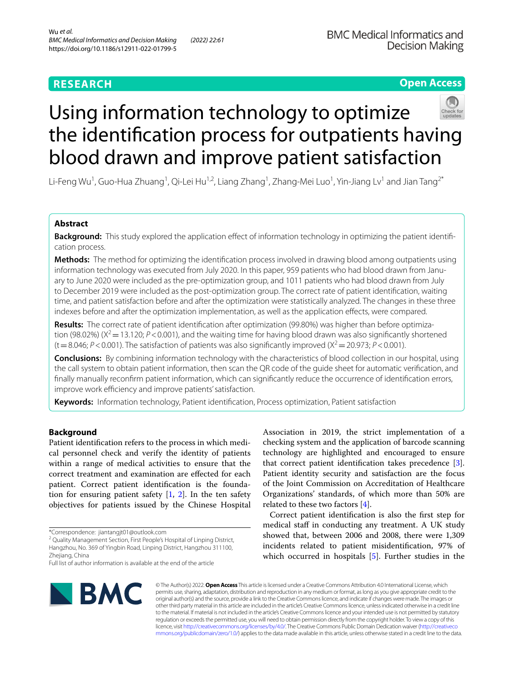# **Open Access**



# Using information technology to optimize the identifcation process for outpatients having blood drawn and improve patient satisfaction

Li-Feng Wu<sup>1</sup>, Guo-Hua Zhuang<sup>1</sup>, Qi-Lei Hu<sup>1,2</sup>, Liang Zhang<sup>1</sup>, Zhang-Mei Luo<sup>1</sup>, Yin-Jiang Lv<sup>1</sup> and Jian Tang<sup>2\*</sup>

## **Abstract**

**Background:** This study explored the application effect of information technology in optimizing the patient identification process.

**Methods:** The method for optimizing the identifcation process involved in drawing blood among outpatients using information technology was executed from July 2020. In this paper, 959 patients who had blood drawn from January to June 2020 were included as the pre-optimization group, and 1011 patients who had blood drawn from July to December 2019 were included as the post-optimization group. The correct rate of patient identifcation, waiting time, and patient satisfaction before and after the optimization were statistically analyzed. The changes in these three indexes before and after the optimization implementation, as well as the application efects, were compared.

**Results:** The correct rate of patient identifcation after optimization (99.80%) was higher than before optimiza‑ tion (98.02%) ( $X^2$  = 13.120; *P* < 0.001), and the waiting time for having blood drawn was also significantly shortened  $(t=8.046; P<0.001)$ . The satisfaction of patients was also significantly improved  $(X^2=20.973; P<0.001)$ .

**Conclusions:** By combining information technology with the characteristics of blood collection in our hospital, using the call system to obtain patient information, then scan the QR code of the guide sheet for automatic verifcation, and fnally manually reconfrm patient information, which can signifcantly reduce the occurrence of identifcation errors, improve work efficiency and improve patients' satisfaction.

**Keywords:** Information technology, Patient identifcation, Process optimization, Patient satisfaction

## **Background**

Patient identifcation refers to the process in which medical personnel check and verify the identity of patients within a range of medical activities to ensure that the correct treatment and examination are efected for each patient. Correct patient identifcation is the foundation for ensuring patient safety  $[1, 2]$  $[1, 2]$  $[1, 2]$  $[1, 2]$ . In the ten safety objectives for patients issued by the Chinese Hospital

<sup>2</sup> Quality Management Section, First People's Hospital of Linping District, Hangzhou, No. 369 of Yingbin Road, Linping District, Hangzhou 311100, Zheijang, China

Full list of author information is available at the end of the article



Association in 2019, the strict implementation of a checking system and the application of barcode scanning technology are highlighted and encouraged to ensure that correct patient identification takes precedence  $[3]$  $[3]$ . Patient identity security and satisfaction are the focus of the Joint Commission on Accreditation of Healthcare Organizations' standards, of which more than 50% are related to these two factors  $[4]$  $[4]$  $[4]$ .

Correct patient identifcation is also the frst step for medical staff in conducting any treatment. A UK study showed that, between 2006 and 2008, there were 1,309 incidents related to patient misidentifcation, 97% of which occurred in hospitals [[5\]](#page-5-3). Further studies in the

© The Author(s) 2022. **Open Access** This article is licensed under a Creative Commons Attribution 4.0 International License, which permits use, sharing, adaptation, distribution and reproduction in any medium or format, as long as you give appropriate credit to the original author(s) and the source, provide a link to the Creative Commons licence, and indicate if changes were made. The images or other third party material in this article are included in the article's Creative Commons licence, unless indicated otherwise in a credit line to the material. If material is not included in the article's Creative Commons licence and your intended use is not permitted by statutory regulation or exceeds the permitted use, you will need to obtain permission directly from the copyright holder. To view a copy of this licence, visit [http://creativecommons.org/licenses/by/4.0/.](http://creativecommons.org/licenses/by/4.0/) The Creative Commons Public Domain Dedication waiver ([http://creativeco](http://creativecommons.org/publicdomain/zero/1.0/) [mmons.org/publicdomain/zero/1.0/](http://creativecommons.org/publicdomain/zero/1.0/)) applies to the data made available in this article, unless otherwise stated in a credit line to the data.

<sup>\*</sup>Correspondence: jiantangjt01@outlook.com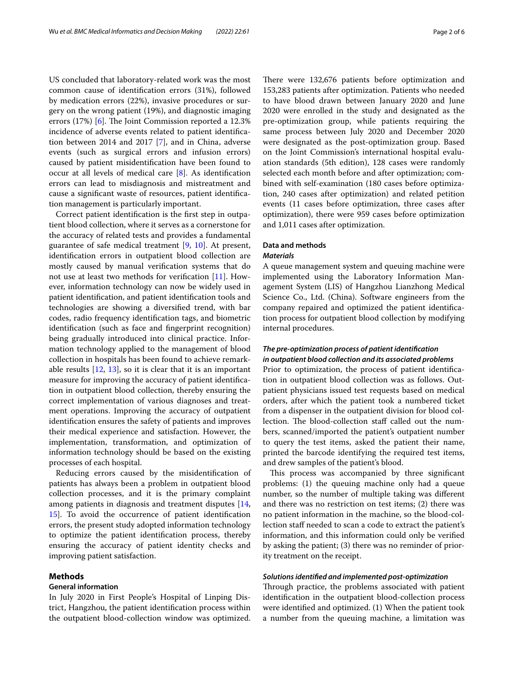US concluded that laboratory-related work was the most common cause of identifcation errors (31%), followed by medication errors (22%), invasive procedures or surgery on the wrong patient (19%), and diagnostic imaging errors  $(17%)$  [\[6](#page-5-4)]. The Joint Commission reported a 12.3% incidence of adverse events related to patient identifcation between 2014 and 2017 [\[7\]](#page-5-5), and in China, adverse events (such as surgical errors and infusion errors) caused by patient misidentifcation have been found to occur at all levels of medical care [\[8](#page-5-6)]. As identifcation errors can lead to misdiagnosis and mistreatment and cause a signifcant waste of resources, patient identifcation management is particularly important.

Correct patient identifcation is the frst step in outpatient blood collection, where it serves as a cornerstone for the accuracy of related tests and provides a fundamental guarantee of safe medical treatment [[9,](#page-5-7) [10](#page-5-8)]. At present, identifcation errors in outpatient blood collection are mostly caused by manual verifcation systems that do not use at least two methods for verifcation [[11\]](#page-5-9). However, information technology can now be widely used in patient identifcation, and patient identifcation tools and technologies are showing a diversifed trend, with bar codes, radio frequency identifcation tags, and biometric identifcation (such as face and fngerprint recognition) being gradually introduced into clinical practice. Information technology applied to the management of blood collection in hospitals has been found to achieve remarkable results  $[12, 13]$  $[12, 13]$  $[12, 13]$  $[12, 13]$  $[12, 13]$ , so it is clear that it is an important measure for improving the accuracy of patient identifcation in outpatient blood collection, thereby ensuring the correct implementation of various diagnoses and treatment operations. Improving the accuracy of outpatient identifcation ensures the safety of patients and improves their medical experience and satisfaction. However, the implementation, transformation, and optimization of information technology should be based on the existing processes of each hospital.

Reducing errors caused by the misidentifcation of patients has always been a problem in outpatient blood collection processes, and it is the primary complaint among patients in diagnosis and treatment disputes [\[14](#page-5-12), [15\]](#page-5-13). To avoid the occurrence of patient identifcation errors, the present study adopted information technology to optimize the patient identifcation process, thereby ensuring the accuracy of patient identity checks and improving patient satisfaction.

## **Methods**

## **General information**

In July 2020 in First People's Hospital of Linping District, Hangzhou, the patient identifcation process within the outpatient blood-collection window was optimized. There were 132,676 patients before optimization and 153,283 patients after optimization. Patients who needed to have blood drawn between January 2020 and June 2020 were enrolled in the study and designated as the pre-optimization group, while patients requiring the same process between July 2020 and December 2020 were designated as the post-optimization group. Based on the Joint Commission's international hospital evaluation standards (5th edition), 128 cases were randomly selected each month before and after optimization; combined with self-examination (180 cases before optimization, 240 cases after optimization) and related petition events (11 cases before optimization, three cases after optimization), there were 959 cases before optimization and 1,011 cases after optimization.

# **Data and methods**

## *Materials*

A queue management system and queuing machine were implemented using the Laboratory Information Management System (LIS) of Hangzhou Lianzhong Medical Science Co., Ltd. (China). Software engineers from the company repaired and optimized the patient identifcation process for outpatient blood collection by modifying internal procedures.

## *The pre‑optimization process of patient identifcation in outpatient blood collection and its associated problems*

Prior to optimization, the process of patient identifcation in outpatient blood collection was as follows. Outpatient physicians issued test requests based on medical orders, after which the patient took a numbered ticket from a dispenser in the outpatient division for blood collection. The blood-collection staff called out the numbers, scanned/imported the patient's outpatient number to query the test items, asked the patient their name, printed the barcode identifying the required test items, and drew samples of the patient's blood.

This process was accompanied by three significant problems: (1) the queuing machine only had a queue number, so the number of multiple taking was diferent and there was no restriction on test items; (2) there was no patient information in the machine, so the blood-collection staff needed to scan a code to extract the patient's information, and this information could only be verifed by asking the patient; (3) there was no reminder of priority treatment on the receipt.

## *Solutions identifed and implemented post‑optimization*

Through practice, the problems associated with patient identifcation in the outpatient blood-collection process were identifed and optimized. (1) When the patient took a number from the queuing machine, a limitation was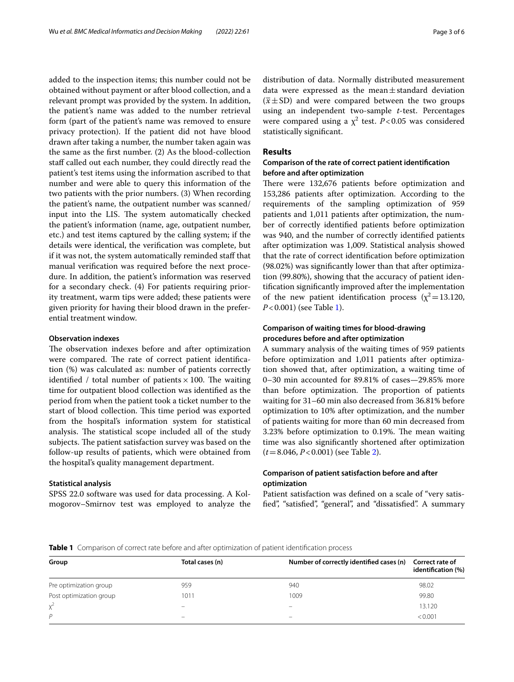added to the inspection items; this number could not be obtained without payment or after blood collection, and a relevant prompt was provided by the system. In addition, the patient's name was added to the number retrieval form (part of the patient's name was removed to ensure privacy protection). If the patient did not have blood drawn after taking a number, the number taken again was the same as the frst number. (2) As the blood-collection staff called out each number, they could directly read the patient's test items using the information ascribed to that number and were able to query this information of the two patients with the prior numbers. (3) When recording the patient's name, the outpatient number was scanned/ input into the LIS. The system automatically checked the patient's information (name, age, outpatient number, etc.) and test items captured by the calling system; if the details were identical, the verifcation was complete, but if it was not, the system automatically reminded staf that manual verifcation was required before the next procedure. In addition, the patient's information was reserved for a secondary check. (4) For patients requiring priority treatment, warm tips were added; these patients were given priority for having their blood drawn in the preferential treatment window.

#### **Observation indexes**

The observation indexes before and after optimization were compared. The rate of correct patient identification (%) was calculated as: number of patients correctly identified / total number of patients  $\times$  100. The waiting time for outpatient blood collection was identifed as the period from when the patient took a ticket number to the start of blood collection. This time period was exported from the hospital's information system for statistical analysis. The statistical scope included all of the study subjects. The patient satisfaction survey was based on the follow-up results of patients, which were obtained from the hospital's quality management department.

#### **Statistical analysis**

SPSS 22.0 software was used for data processing. A Kolmogorov–Smirnov test was employed to analyze the distribution of data. Normally distributed measurement data were expressed as the mean $\pm$ standard deviation  $(\bar{x} \pm SD)$  and were compared between the two groups using an independent two-sample *t*-test. Percentages were compared using a  $\chi^2$  test. *P*<0.05 was considered statistically signifcant.

## **Results**

## **Comparison of the rate of correct patient identifcation before and after optimization**

There were 132,676 patients before optimization and 153,286 patients after optimization. According to the requirements of the sampling optimization of 959 patients and 1,011 patients after optimization, the number of correctly identifed patients before optimization was 940, and the number of correctly identifed patients after optimization was 1,009. Statistical analysis showed that the rate of correct identifcation before optimization (98.02%) was signifcantly lower than that after optimization (99.80%), showing that the accuracy of patient identifcation signifcantly improved after the implementation of the new patient identification process ( $\chi^2$  = 13.120, *P*<0.001) (see Table [1](#page-2-0)).

## **Comparison of waiting times for blood‑drawing procedures before and after optimization**

A summary analysis of the waiting times of 959 patients before optimization and 1,011 patients after optimization showed that, after optimization, a waiting time of 0–30 min accounted for 89.81% of cases—29.85% more than before optimization. The proportion of patients waiting for 31–60 min also decreased from 36.81% before optimization to 10% after optimization, and the number of patients waiting for more than 60 min decreased from 3.23% before optimization to 0.19%. The mean waiting time was also signifcantly shortened after optimization (*t*=8.046, *P*<0.001) (see Table [2](#page-3-0)).

## **Comparison of patient satisfaction before and after optimization**

Patient satisfaction was defned on a scale of "very satisfed", "satisfed", "general", and "dissatisfed". A summary

<span id="page-2-0"></span>**Table 1** Comparison of correct rate before and after optimization of patient identifcation process

| Group                   | Total cases (n) | Number of correctly identified cases (n) | Correct rate of<br>identification (%)<br>98.02 |  |
|-------------------------|-----------------|------------------------------------------|------------------------------------------------|--|
| Pre optimization group  | 959             | 940                                      |                                                |  |
| Post optimization group | 1011            | 1009                                     | 99.80                                          |  |
| $x^2$                   |                 | -                                        | 13.120                                         |  |
| $\mathsf{p}$            | -               | $\overline{\phantom{0}}$                 | < 0.001                                        |  |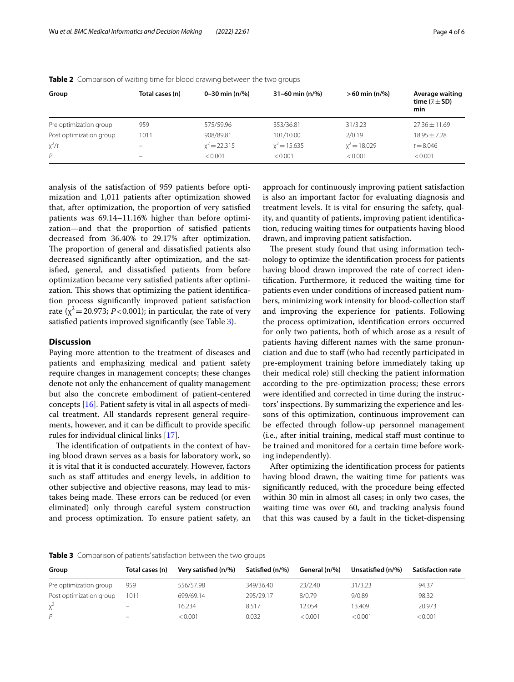| Group                   | Total cases (n) | 0-30 min $(n/\%)$ | 31-60 min $(n/\%)$ | $>60$ min (n/%) | Average waiting                 |
|-------------------------|-----------------|-------------------|--------------------|-----------------|---------------------------------|
|                         |                 |                   |                    |                 | time ( $\bar{x} \pm$ SD)<br>min |
| Pre optimization group  | 959             | 575/59.96         | 353/36.81          | 31/3.23         | $27.36 \pm 11.69$               |
| Post optimization group | 1011            | 908/89.81         | 101/10.00          | 2/0.19          | $18.95 + 7.28$                  |
| $x^2/t$                 |                 | $x^2 = 22.315$    | $x^2 = 15.635$     | $x^2 = 18.029$  | $t = 8.046$                     |
| P                       | -               | < 0.001           | < 0.001            | < 0.001         | < 0.001                         |

<span id="page-3-0"></span>**Table 2** Comparison of waiting time for blood drawing between the two groups

analysis of the satisfaction of 959 patients before optimization and 1,011 patients after optimization showed that, after optimization, the proportion of very satisfed patients was 69.14–11.16% higher than before optimization—and that the proportion of satisfed patients decreased from 36.40% to 29.17% after optimization. The proportion of general and dissatisfied patients also decreased signifcantly after optimization, and the satisfed, general, and dissatisfed patients from before optimization became very satisfed patients after optimization. This shows that optimizing the patient identification process signifcantly improved patient satisfaction rate  $(\chi^2 = 20.973; P < 0.001)$ ; in particular, the rate of very satisfed patients improved signifcantly (see Table [3](#page-3-1)).

## **Discussion**

Paying more attention to the treatment of diseases and patients and emphasizing medical and patient safety require changes in management concepts; these changes denote not only the enhancement of quality management but also the concrete embodiment of patient-centered concepts [\[16](#page-5-14)]. Patient safety is vital in all aspects of medical treatment. All standards represent general requirements, however, and it can be difficult to provide specific rules for individual clinical links [[17\]](#page-5-15).

The identification of outpatients in the context of having blood drawn serves as a basis for laboratory work, so it is vital that it is conducted accurately. However, factors such as staff attitudes and energy levels, in addition to other subjective and objective reasons, may lead to mistakes being made. These errors can be reduced (or even eliminated) only through careful system construction and process optimization. To ensure patient safety, an approach for continuously improving patient satisfaction is also an important factor for evaluating diagnosis and treatment levels. It is vital for ensuring the safety, quality, and quantity of patients, improving patient identifcation, reducing waiting times for outpatients having blood drawn, and improving patient satisfaction.

The present study found that using information technology to optimize the identifcation process for patients having blood drawn improved the rate of correct identifcation. Furthermore, it reduced the waiting time for patients even under conditions of increased patient numbers, minimizing work intensity for blood-collection staf and improving the experience for patients. Following the process optimization, identifcation errors occurred for only two patients, both of which arose as a result of patients having diferent names with the same pronunciation and due to staff (who had recently participated in pre-employment training before immediately taking up their medical role) still checking the patient information according to the pre-optimization process; these errors were identifed and corrected in time during the instructors' inspections. By summarizing the experience and lessons of this optimization, continuous improvement can be effected through follow-up personnel management (i.e., after initial training, medical staf must continue to be trained and monitored for a certain time before working independently).

After optimizing the identifcation process for patients having blood drawn, the waiting time for patients was signifcantly reduced, with the procedure being efected within 30 min in almost all cases; in only two cases, the waiting time was over 60, and tracking analysis found that this was caused by a fault in the ticket-dispensing

<span id="page-3-1"></span>**Table 3** Comparison of patients' satisfaction between the two groups

| Group                   | Total cases (n)   | Very satisfied (n/%) | Satisfied (n/%) | General (n/%) | Unsatisfied (n/%) | <b>Satisfaction rate</b> |
|-------------------------|-------------------|----------------------|-----------------|---------------|-------------------|--------------------------|
| Pre optimization group  | 959               | 556/57.98            | 349/36.40       | 23/2.40       | 31/3.23           | 94.37                    |
| Post optimization group | 1011              | 699/69.14            | 295/29.17       | 8/0.79        | 9/0.89            | 98.32                    |
| $x^2$                   | $\qquad \qquad -$ | 16.234               | 8.517           | 12.054        | 13.409            | 20.973                   |
| D                       | $\qquad \qquad =$ | < 0.001              | 0.032           | < 0.001       | < 0.001           | < 0.001                  |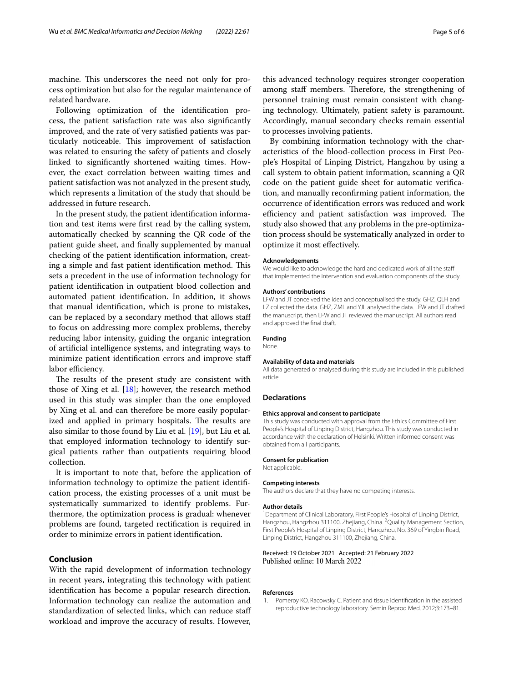machine. This underscores the need not only for process optimization but also for the regular maintenance of related hardware.

Following optimization of the identifcation process, the patient satisfaction rate was also signifcantly improved, and the rate of very satisfed patients was particularly noticeable. This improvement of satisfaction was related to ensuring the safety of patients and closely linked to signifcantly shortened waiting times. However, the exact correlation between waiting times and patient satisfaction was not analyzed in the present study, which represents a limitation of the study that should be addressed in future research.

In the present study, the patient identifcation information and test items were frst read by the calling system, automatically checked by scanning the QR code of the patient guide sheet, and fnally supplemented by manual checking of the patient identifcation information, creating a simple and fast patient identification method. This sets a precedent in the use of information technology for patient identifcation in outpatient blood collection and automated patient identifcation. In addition, it shows that manual identifcation, which is prone to mistakes, can be replaced by a secondary method that allows staf to focus on addressing more complex problems, thereby reducing labor intensity, guiding the organic integration of artifcial intelligence systems, and integrating ways to minimize patient identifcation errors and improve staf labor efficiency.

The results of the present study are consistent with those of Xing et al.  $[18]$  $[18]$ ; however, the research method used in this study was simpler than the one employed by Xing et al. and can therefore be more easily popularized and applied in primary hospitals. The results are also similar to those found by Liu et al. [\[19\]](#page-5-17), but Liu et al. that employed information technology to identify surgical patients rather than outpatients requiring blood collection.

It is important to note that, before the application of information technology to optimize the patient identifcation process, the existing processes of a unit must be systematically summarized to identify problems. Furthermore, the optimization process is gradual: whenever problems are found, targeted rectifcation is required in order to minimize errors in patient identifcation.

## **Conclusion**

With the rapid development of information technology in recent years, integrating this technology with patient identifcation has become a popular research direction. Information technology can realize the automation and standardization of selected links, which can reduce staf workload and improve the accuracy of results. However,

this advanced technology requires stronger cooperation among staff members. Therefore, the strengthening of personnel training must remain consistent with changing technology. Ultimately, patient safety is paramount. Accordingly, manual secondary checks remain essential to processes involving patients.

By combining information technology with the characteristics of the blood-collection process in First People's Hospital of Linping District, Hangzhou by using a call system to obtain patient information, scanning a QR code on the patient guide sheet for automatic verifcation, and manually reconfrming patient information, the occurrence of identifcation errors was reduced and work efficiency and patient satisfaction was improved. The study also showed that any problems in the pre-optimization process should be systematically analyzed in order to optimize it most efectively.

#### **Acknowledgements**

We would like to acknowledge the hard and dedicated work of all the staff that implemented the intervention and evaluation components of the study.

#### **Authors' contributions**

LFW and JT conceived the idea and conceptualised the study. GHZ, QLH and LZ collected the data. GHZ, ZML and YJL analysed the data. LFW and JT drafted the manuscript, then LFW and JT reviewed the manuscript. All authors read and approved the fnal draft.

#### **Funding**

None.

#### **Availability of data and materials**

All data generated or analysed during this study are included in this published article.

#### **Declarations**

#### **Ethics approval and consent to participate**

This study was conducted with approval from the Ethics Committee of First People's Hospital of Linping District, Hangzhou. This study was conducted in accordance with the declaration of Helsinki. Written informed consent was obtained from all participants.

#### **Consent for publication**

Not applicable.

#### **Competing interests**

The authors declare that they have no competing interests.

#### **Author details**

<sup>1</sup> Department of Clinical Laboratory, First People's Hospital of Linping District, Hangzhou, Hangzhou 311100, Zhejiang, China. <sup>2</sup> Quality Management Section, First People's Hospital of Linping District, Hangzhou, No. 369 of Yingbin Road, Linping District, Hangzhou 311100, Zhejiang, China.

#### Received: 19 October 2021 Accepted: 21 February 2022 Published online: 10 March 2022

#### **References**

<span id="page-4-0"></span>1. Pomeroy KO, Racowsky C. Patient and tissue identifcation in the assisted reproductive technology laboratory. Semin Reprod Med. 2012;3:173–81.